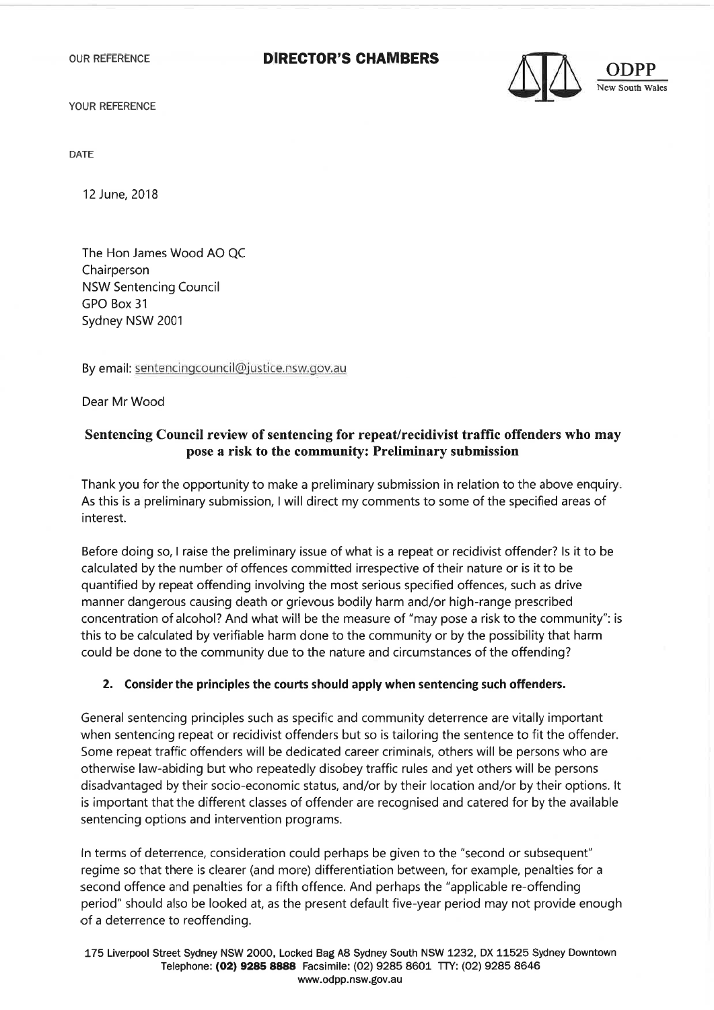OUR REFERENCE

## **DIRECTOR'S CHAM BERS**



**ODPP** 

YOUR REFERENCE

DATE

12 June, 2018

The Hon James Wood AO QC Chairperson NSW Sentencing Council GPO Box 31 Sydney NSW 2001

By email: sentencingcouncil@justice.nsw.gov.au

Dear Mr Wood

## **Sentencing Council review of sentencing for repeat/recidivist traffic offenders who may pose a risk to the community: Preliminary submission**

Thank you for the opportunity to make a preliminary submission in relation to the above enquiry. As this is a preliminary submission, I will direct my comments to some of the specified areas of interest.

Before doing so, I raise the preliminary issue of what is a repeat or recidivist offender? Is it to be calculated by the number of offences committed irrespective of their nature or is it to be quantified by repeat offending involving the most serious specified offences, such as drive manner dangerous causing death or grievous bodily harm and/or high-range prescribed concentration of alcohol? And what will be the measure of "may pose a risk to the community": is this to be calculated by verifiable harm done to the community or by the possibility that harm could be done to the community due to the nature and circumstances of the offending?

## **2. Consider the principles the courts should apply when sentencing such offenders.**

General sentencing principles such as specific and community deterrence are vitally important when sentencing repeat or recidivist offenders but so is tailoring the sentence to fit the offender. Some repeat traffic offenders will be dedicated career criminals, others will be persons who are otherwise law-abiding but who repeatedly disobey traffic rules and yet others will be persons disadvantaged by their socio-economic status, and/or by their location and/or by their options. It is important that the different classes of offender are recognised and catered for by the available sentencing options and intervention programs.

In terms of deterrence, consideration could perhaps be given to the "second or subsequent" regime so that there is clearer (and more) differentiation between, for example, penalties for a second offence and penalties for a fifth offence. And perhaps the "applicable re-offending period" should also be looked at, as the present default five-year period may not provide enough of a deterrence to reoffending.